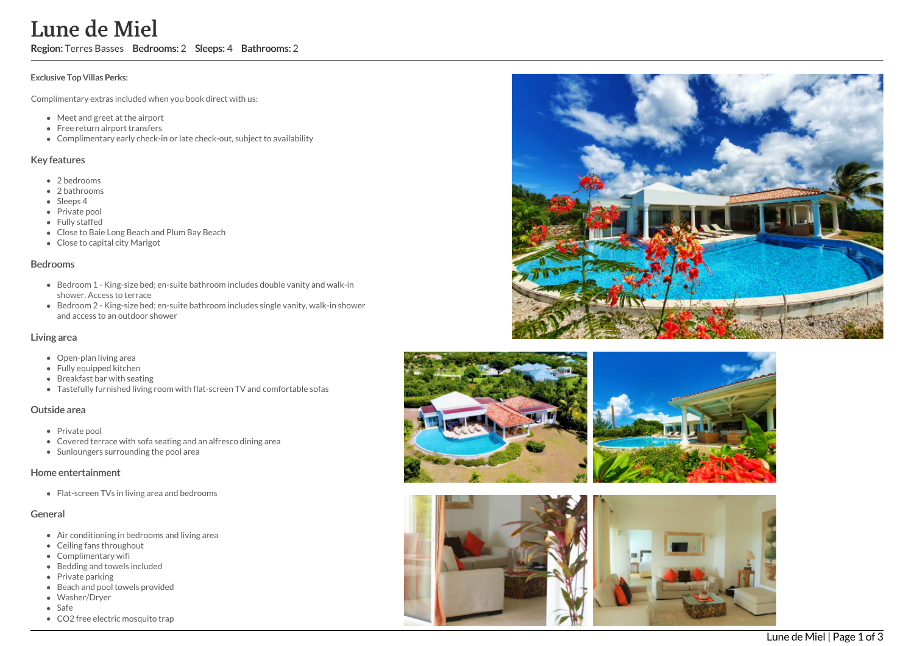# Lune de Miel

Region: Terres Basses Bedrooms: 2 Sleeps: 4 Bathrooms: 2

#### Exclusive Top Villas Perks:

Complimentary extras included when you book direct with us:

- Meet and greet at the airport
- Free return airport transfers
- Complimentary early check-in or late check-out, subject to availability

#### Key features

- 2 b e d r o o m s
- 2 bathrooms
- Sleeps 4
- Private pool
- Fully staffed
- Close to Baie Long Beach and Plum Bay Beach
- Close to capital city Marigot

#### **Bedrooms**

- Bedroom 1 King-size bed; en-suite bathroom includes double vanity and walk-in shower. Access to terrace
- Bedroom 2 King-size bed; en-suite bathroom includes single vanity, walk-in shower and access to an outdoor shower

#### Living area

- Open-plan living area
- Fully equipped kitchen
- Breakfast bar with seating
- Tastefully furnished living room with flat-screen TV and comfortable sofas

#### Outside area

- Private pool
- Covered terrace with sofa seating and an alfresco dining area
- Sunloungers surrounding the pool area

#### Home entertainment

Flat-screen TVs in living area and bedrooms

### General

- Air conditioning in bedrooms and living area
- Ceiling fans throughout
- Complimentary wifi
- Bedding and towels included
- Private parking
- Beach and pool towels provided
- Washer/Dryer
- S a f e
- CO2 free electric mosquito trap









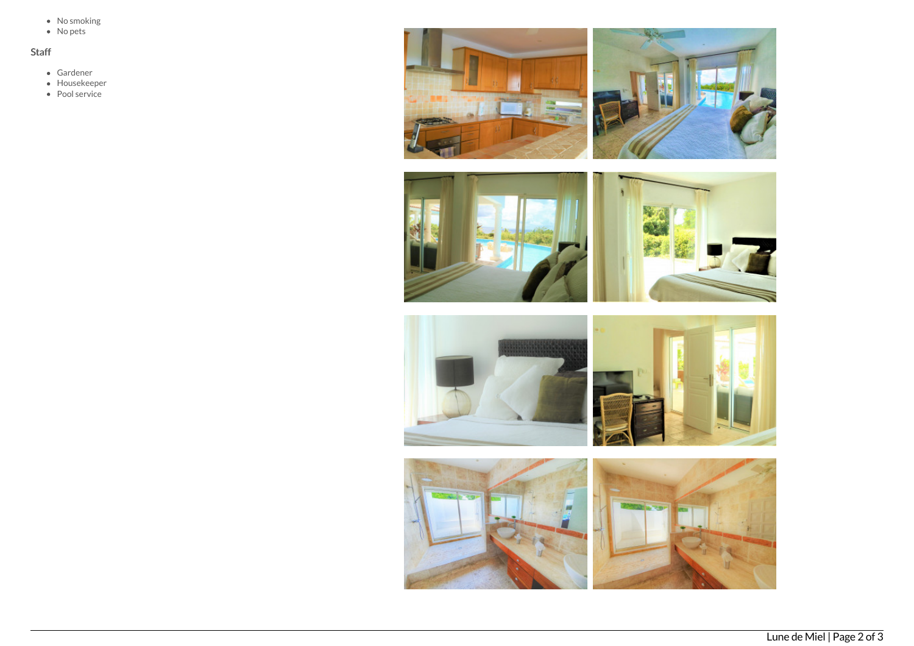- No smoking
- No pets

## Staff

- Gardener
- Housekeeper
- Pool service